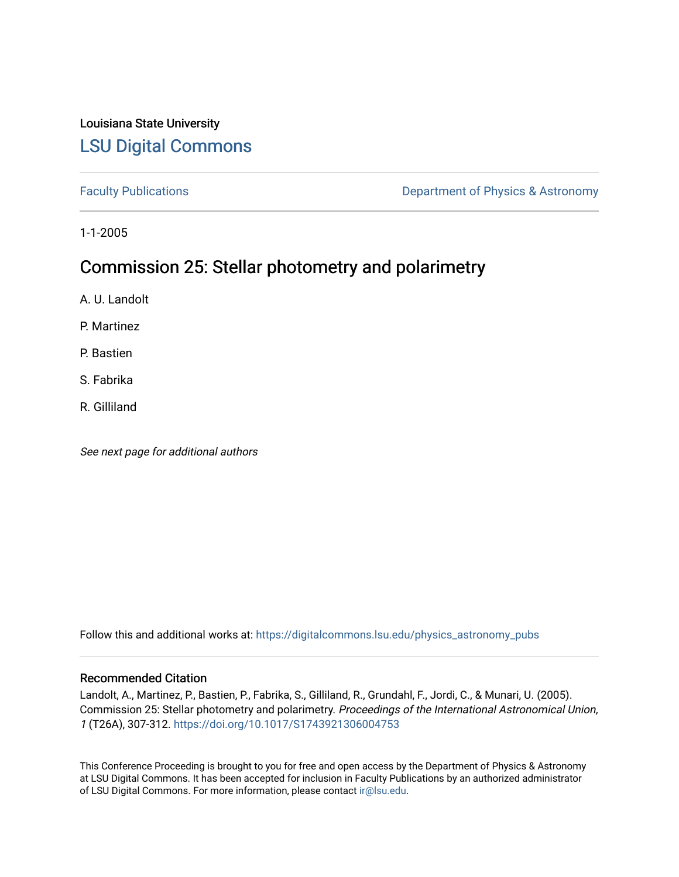## Louisiana State University [LSU Digital Commons](https://digitalcommons.lsu.edu/)

[Faculty Publications](https://digitalcommons.lsu.edu/physics_astronomy_pubs) **Exercise 2 and Table 2 and Table 2 and Table 2 and Table 2 and Table 2 and Table 2 and Table 2 and Table 2 and Table 2 and Table 2 and Table 2 and Table 2 and Table 2 and Table 2 and Table 2 and Table** 

1-1-2005

# Commission 25: Stellar photometry and polarimetry

A. U. Landolt

P. Martinez

P. Bastien

S. Fabrika

R. Gilliland

See next page for additional authors

Follow this and additional works at: [https://digitalcommons.lsu.edu/physics\\_astronomy\\_pubs](https://digitalcommons.lsu.edu/physics_astronomy_pubs?utm_source=digitalcommons.lsu.edu%2Fphysics_astronomy_pubs%2F2909&utm_medium=PDF&utm_campaign=PDFCoverPages) 

### Recommended Citation

Landolt, A., Martinez, P., Bastien, P., Fabrika, S., Gilliland, R., Grundahl, F., Jordi, C., & Munari, U. (2005). Commission 25: Stellar photometry and polarimetry. Proceedings of the International Astronomical Union, 1 (T26A), 307-312. <https://doi.org/10.1017/S1743921306004753>

This Conference Proceeding is brought to you for free and open access by the Department of Physics & Astronomy at LSU Digital Commons. It has been accepted for inclusion in Faculty Publications by an authorized administrator of LSU Digital Commons. For more information, please contact [ir@lsu.edu](mailto:ir@lsu.edu).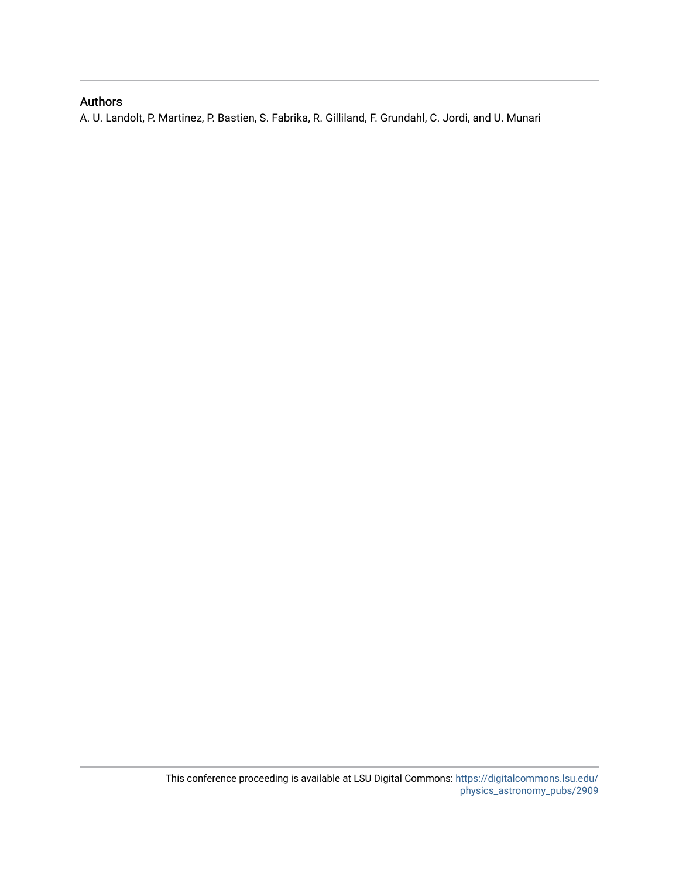### Authors

A. U. Landolt, P. Martinez, P. Bastien, S. Fabrika, R. Gilliland, F. Grundahl, C. Jordi, and U. Munari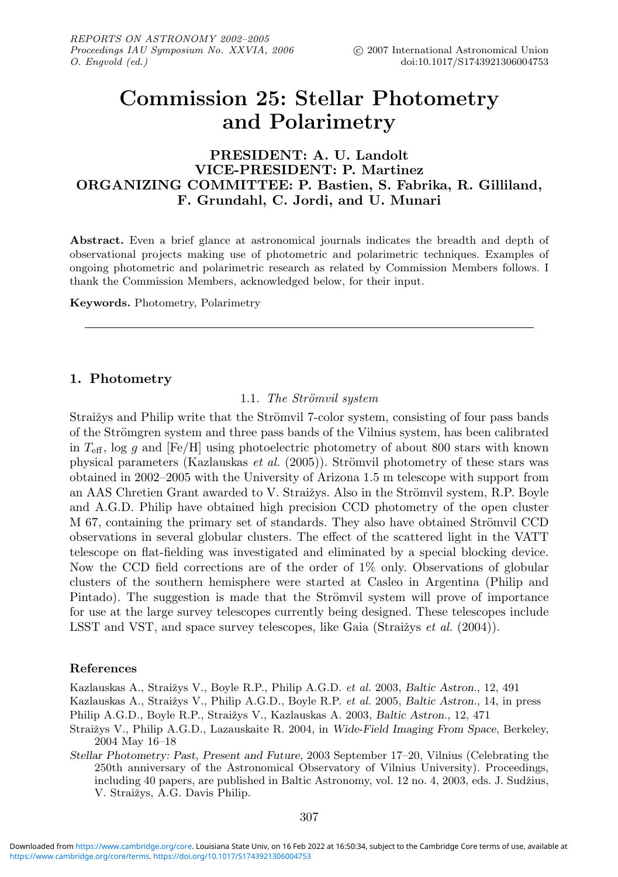# **Commission 25: Stellar Photometry and Polarimetry**

### **PRESIDENT: A. U. Landolt VICE-PRESIDENT: P. Martinez ORGANIZING COMMITTEE: P. Bastien, S. Fabrika, R. Gilliland, F. Grundahl, C. Jordi, and U. Munari**

**Abstract.** Even a brief glance at astronomical journals indicates the breadth and depth of observational projects making use of photometric and polarimetric techniques. Examples of ongoing photometric and polarimetric research as related by Commission Members follows. I thank the Commission Members, acknowledged below, for their input.

**Keywords.** Photometry, Polarimetry

#### **1. Photometry**

#### 1.1. The Strömvil system

Straižys and Philip write that the Strömvil 7-color system, consisting of four pass bands of the Strömgren system and three pass bands of the Vilnius system, has been calibrated in  $T_{\text{eff}}$ , log g and [Fe/H] using photoelectric photometry of about 800 stars with known physical parameters (Kazlauskas *et al.* (2005)). Strömvil photometry of these stars was obtained in 2002–2005 with the University of Arizona 1.5 m telescope with support from an AAS Chretien Grant awarded to V. Straižys. Also in the Strömvil system, R.P. Boyle and A.G.D. Philip have obtained high precision CCD photometry of the open cluster M 67, containing the primary set of standards. They also have obtained Strömvil CCD observations in several globular clusters. The effect of the scattered light in the VATT telescope on flat-fielding was investigated and eliminated by a special blocking device. Now the CCD field corrections are of the order of 1% only. Observations of globular clusters of the southern hemisphere were started at Casleo in Argentina (Philip and Pintado). The suggestion is made that the Strömvil system will prove of importance for use at the large survey telescopes currently being designed. These telescopes include LSST and VST, and space survey telescopes, like Gaia (Straižys  $et \ al. (2004)$ ).

#### **References**

Kazlauskas A., Straižys V., Boyle R.P., Philip A.G.D. et al. 2003, *Baltic Astron.*, 12, 491 Kazlauskas A., Straižys V., Philip A.G.D., Boyle R.P. et al. 2005, Baltic Astron., 14, in press Philip A.G.D., Boyle R.P., Straižys V., Kazlauskas A. 2003, *Baltic Astron.*, 12, 471

- Straižys V., Philip A.G.D., Lazauskaite R. 2004, in *Wide-Field Imaging From Space*, Berkeley, 2004 May 16–18
- *Stellar Photometry: Past, Present and Future*, 2003 September 17–20, Vilnius (Celebrating the 250th anniversary of the Astronomical Observatory of Vilnius University). Proceedings, including 40 papers, are published in Baltic Astronomy, vol. 12 no. 4, 2003, eds. J. Sudžius, V. Straižys, A.G. Davis Philip.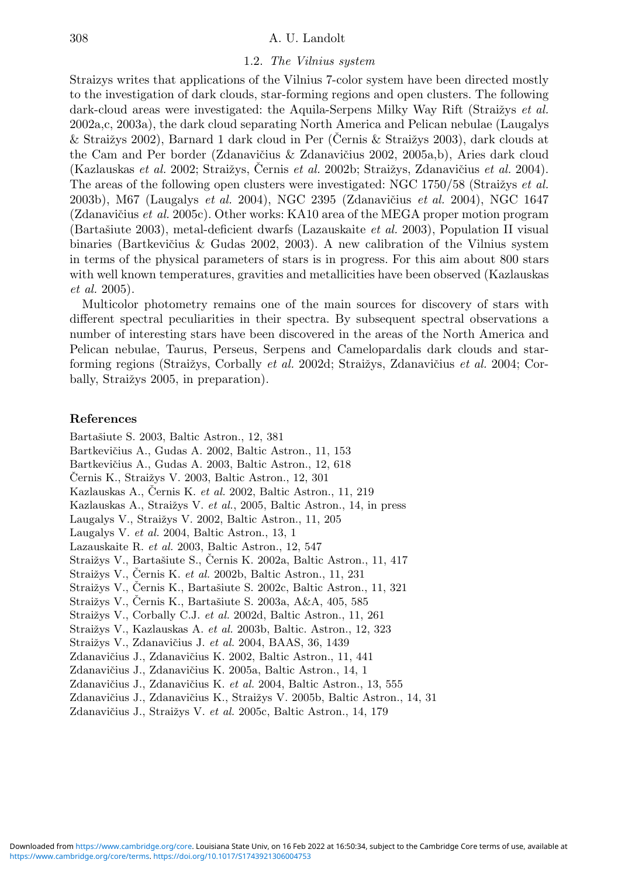#### 308 A. U. Landolt

#### 1.2. The Vilnius system

Straizys writes that applications of the Vilnius 7-color system have been directed mostly to the investigation of dark clouds, star-forming regions and open clusters. The following dark-cloud areas were investigated: the Aquila-Serpens Milky Way Rift (Straižys et al. 2002a,c, 2003a), the dark cloud separating North America and Pelican nebulae (Laugalys  $&$  Straižys 2002), Barnard 1 dark cloud in Per (Cernis  $&$  Straižys 2003), dark clouds at the Cam and Per border (Zdanavičius & Zdanavičius 2002, 2005a,b), Aries dark cloud (Kazlauskas *et al.* 2002; Straižys, Černis *et al.* 2002b; Straižys, Zdanavičius *et al.* 2004). The areas of the following open clusters were investigated: NGC 1750/58 (Straižys *et al.*) 2003b), M67 (Laugalys *et al.* 2004), NGC 2395 (Zdanavičius *et al.* 2004), NGC 1647 (Zdanavičius *et al.* 2005c). Other works: KA10 area of the MEGA proper motion program (Bartašiute 2003), metal-deficient dwarfs (Lazauskaite *et al.* 2003), Population II visual binaries (Bartkevičius  $\&$  Gudas 2002, 2003). A new calibration of the Vilnius system in terms of the physical parameters of stars is in progress. For this aim about 800 stars with well known temperatures, gravities and metallicities have been observed (Kazlauskas et al. 2005).

Multicolor photometry remains one of the main sources for discovery of stars with different spectral peculiarities in their spectra. By subsequent spectral observations a number of interesting stars have been discovered in the areas of the North America and Pelican nebulae, Taurus, Perseus, Serpens and Camelopardalis dark clouds and starforming regions (Straižys, Corbally *et al.* 2002d; Straižys, Zdanavičius *et al.* 2004; Corbally, Straižys 2005, in preparation).

#### **References**

Bartašiute S. 2003, Baltic Astron., 12, 381 Bartkevičius A., Gudas A. 2002, Baltic Astron., 11, 153 Bartkevičius A., Gudas A. 2003, Baltic Astron., 12, 618 Černis K., Straižys V. 2003, Baltic Astron., 12, 301 Kazlauskas A., Černis K. *et al.* 2002, Baltic Astron., 11, 219 Kazlauskas A., Straižys V. et al., 2005, Baltic Astron., 14, in press Laugalys V., Straižys V. 2002, Baltic Astron., 11, 205 Laugalys V. et al. 2004, Baltic Astron., 13, 1 Lazauskaite R. et al. 2003, Baltic Astron., 12, 547 Straižys V., Bartašiute S., Černis K. 2002a, Baltic Astron., 11, 417 Straižys V., Černis K. *et al.* 2002b, Baltic Astron., 11, 231 Straižys V., Černis K., Bartašiute S. 2002c, Baltic Astron., 11, 321 Straižys V., Černis K., Bartašiute S. 2003a, A&A, 405, 585 Straižys V., Corbally C.J. et al. 2002d, Baltic Astron., 11, 261 Straižys V., Kazlauskas A. et al. 2003b, Baltic. Astron., 12, 323 Straižys V., Zdanavičius J. et al. 2004, BAAS, 36, 1439 Zdanavičius J., Zdanavičius K. 2002, Baltic Astron., 11, 441 Zdanavičius J., Zdanavičius K. 2005a, Baltic Astron., 14, 1 Zdanavičius J., Zdanavičius K. et al. 2004, Baltic Astron., 13, 555 Zdanavičius J., Zdanavičius K., Straižys V. 2005b, Baltic Astron., 14, 31

Zdanavičius J., Straižys V. et al. 2005c, Baltic Astron., 14, 179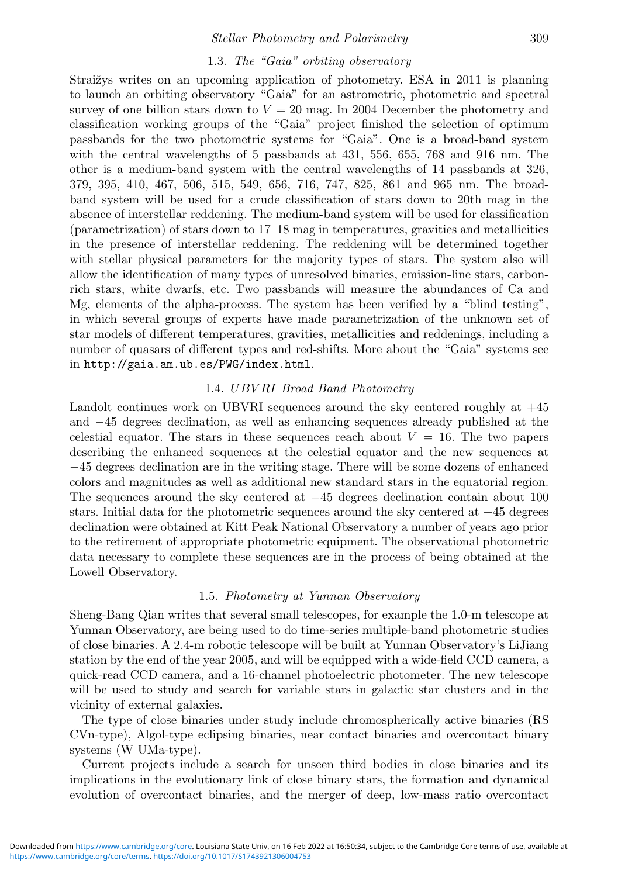#### 1.3. The "Gaia" orbiting observatory

Straižys writes on an upcoming application of photometry. ESA in 2011 is planning to launch an orbiting observatory "Gaia" for an astrometric, photometric and spectral survey of one billion stars down to  $V = 20$  mag. In 2004 December the photometry and classification working groups of the "Gaia" project finished the selection of optimum passbands for the two photometric systems for "Gaia". One is a broad-band system with the central wavelengths of 5 passbands at 431, 556, 655, 768 and 916 nm. The other is a medium-band system with the central wavelengths of 14 passbands at 326, 379, 395, 410, 467, 506, 515, 549, 656, 716, 747, 825, 861 and 965 nm. The broadband system will be used for a crude classification of stars down to 20th mag in the absence of interstellar reddening. The medium-band system will be used for classification (parametrization) of stars down to 17–18 mag in temperatures, gravities and metallicities in the presence of interstellar reddening. The reddening will be determined together with stellar physical parameters for the majority types of stars. The system also will allow the identification of many types of unresolved binaries, emission-line stars, carbonrich stars, white dwarfs, etc. Two passbands will measure the abundances of Ca and Mg, elements of the alpha-process. The system has been verified by a "blind testing", in which several groups of experts have made parametrization of the unknown set of star models of different temperatures, gravities, metallicities and reddenings, including a number of quasars of different types and red-shifts. More about the "Gaia" systems see in http://gaia.am.ub.es/PWG/index.html.

#### 1.4. UBV RI Broad Band Photometry

Landolt continues work on UBVRI sequences around the sky centered roughly at +45 and −45 degrees declination, as well as enhancing sequences already published at the celestial equator. The stars in these sequences reach about  $V = 16$ . The two papers describing the enhanced sequences at the celestial equator and the new sequences at −45 degrees declination are in the writing stage. There will be some dozens of enhanced colors and magnitudes as well as additional new standard stars in the equatorial region. The sequences around the sky centered at −45 degrees declination contain about 100 stars. Initial data for the photometric sequences around the sky centered at  $+45$  degrees declination were obtained at Kitt Peak National Observatory a number of years ago prior to the retirement of appropriate photometric equipment. The observational photometric data necessary to complete these sequences are in the process of being obtained at the Lowell Observatory.

#### 1.5. Photometry at Yunnan Observatory

Sheng-Bang Qian writes that several small telescopes, for example the 1.0-m telescope at Yunnan Observatory, are being used to do time-series multiple-band photometric studies of close binaries. A 2.4-m robotic telescope will be built at Yunnan Observatory's LiJiang station by the end of the year 2005, and will be equipped with a wide-field CCD camera, a quick-read CCD camera, and a 16-channel photoelectric photometer. The new telescope will be used to study and search for variable stars in galactic star clusters and in the vicinity of external galaxies.

The type of close binaries under study include chromospherically active binaries (RS CVn-type), Algol-type eclipsing binaries, near contact binaries and overcontact binary systems (W UMa-type).

Current projects include a search for unseen third bodies in close binaries and its implications in the evolutionary link of close binary stars, the formation and dynamical evolution of overcontact binaries, and the merger of deep, low-mass ratio overcontact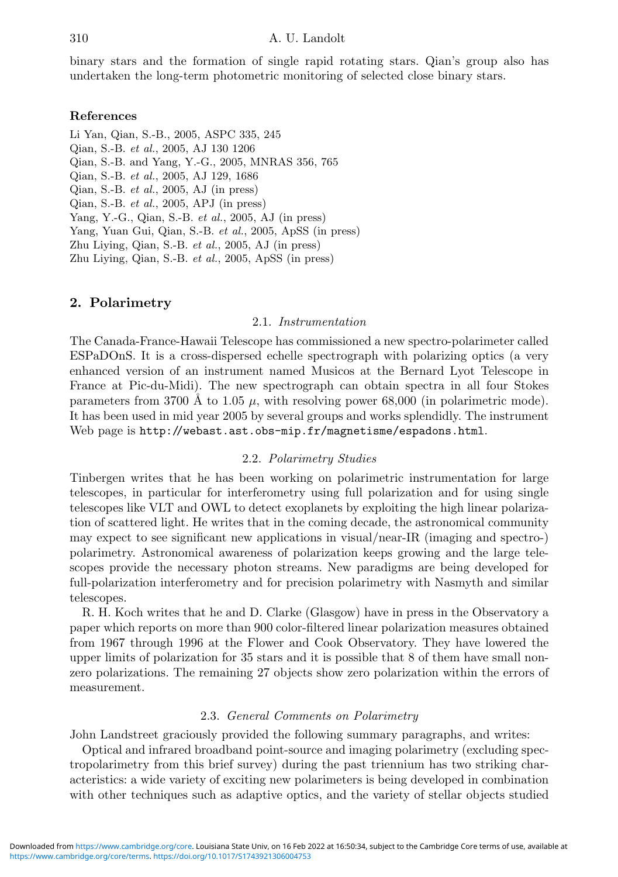binary stars and the formation of single rapid rotating stars. Qian's group also has undertaken the long-term photometric monitoring of selected close binary stars.

#### **References**

Li Yan, Qian, S.-B., 2005, ASPC 335, 245 Qian, S.-B. et al., 2005, AJ 130 1206 Qian, S.-B. and Yang, Y.-G., 2005, MNRAS 356, 765 Qian, S.-B. et al., 2005, AJ 129, 1686 Qian, S.-B. et al., 2005, AJ (in press) Qian, S.-B. et al., 2005, APJ (in press) Yang, Y.-G., Qian, S.-B. et al., 2005, AJ (in press) Yang, Yuan Gui, Qian, S.-B. et al., 2005, ApSS (in press) Zhu Living, Qian, S.-B. et al.,  $2005$ , AJ (in press) Zhu Liying, Qian, S.-B. et al., 2005, ApSS (in press)

#### **2. Polarimetry**

#### 2.1. Instrumentation

The Canada-France-Hawaii Telescope has commissioned a new spectro-polarimeter called ESPaDOnS. It is a cross-dispersed echelle spectrograph with polarizing optics (a very enhanced version of an instrument named Musicos at the Bernard Lyot Telescope in France at Pic-du-Midi). The new spectrograph can obtain spectra in all four Stokes parameters from 3700 Å to 1.05  $\mu$ , with resolving power 68,000 (in polarimetric mode). It has been used in mid year 2005 by several groups and works splendidly. The instrument Web page is http://webast.ast.obs-mip.fr/magnetisme/espadons.html.

#### 2.2. Polarimetry Studies

Tinbergen writes that he has been working on polarimetric instrumentation for large telescopes, in particular for interferometry using full polarization and for using single telescopes like VLT and OWL to detect exoplanets by exploiting the high linear polarization of scattered light. He writes that in the coming decade, the astronomical community may expect to see significant new applications in visual/near-IR (imaging and spectro-) polarimetry. Astronomical awareness of polarization keeps growing and the large telescopes provide the necessary photon streams. New paradigms are being developed for full-polarization interferometry and for precision polarimetry with Nasmyth and similar telescopes.

R. H. Koch writes that he and D. Clarke (Glasgow) have in press in the Observatory a paper which reports on more than 900 color-filtered linear polarization measures obtained from 1967 through 1996 at the Flower and Cook Observatory. They have lowered the upper limits of polarization for 35 stars and it is possible that 8 of them have small nonzero polarizations. The remaining 27 objects show zero polarization within the errors of measurement.

#### 2.3. General Comments on Polarimetry

John Landstreet graciously provided the following summary paragraphs, and writes:

Optical and infrared broadband point-source and imaging polarimetry (excluding spectropolarimetry from this brief survey) during the past triennium has two striking characteristics: a wide variety of exciting new polarimeters is being developed in combination with other techniques such as adaptive optics, and the variety of stellar objects studied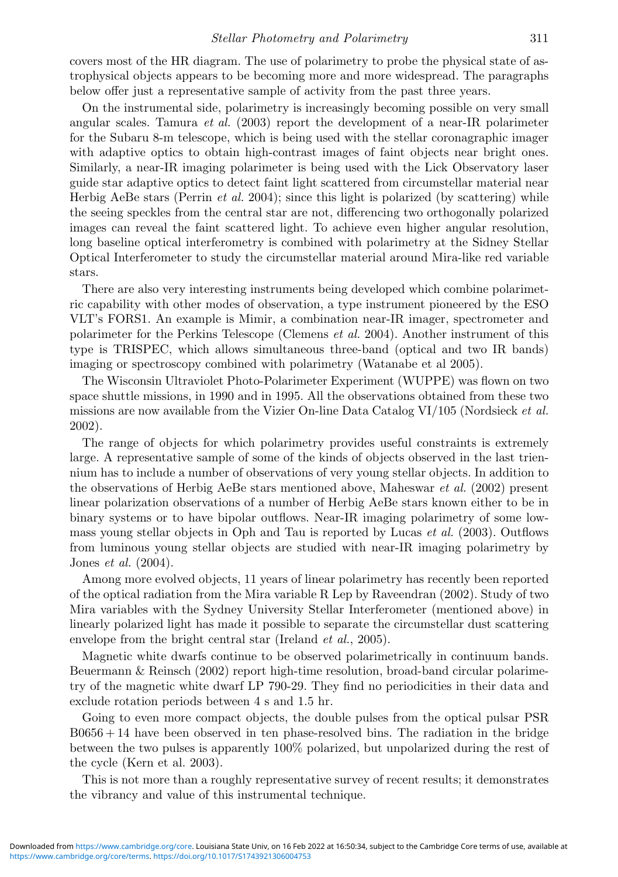covers most of the HR diagram. The use of polarimetry to probe the physical state of astrophysical objects appears to be becoming more and more widespread. The paragraphs below offer just a representative sample of activity from the past three years.

On the instrumental side, polarimetry is increasingly becoming possible on very small angular scales. Tamura *et al.* (2003) report the development of a near-IR polarimeter for the Subaru 8-m telescope, which is being used with the stellar coronagraphic imager with adaptive optics to obtain high-contrast images of faint objects near bright ones. Similarly, a near-IR imaging polarimeter is being used with the Lick Observatory laser guide star adaptive optics to detect faint light scattered from circumstellar material near Herbig AeBe stars (Perrin *et al.* 2004); since this light is polarized (by scattering) while the seeing speckles from the central star are not, differencing two orthogonally polarized images can reveal the faint scattered light. To achieve even higher angular resolution, long baseline optical interferometry is combined with polarimetry at the Sidney Stellar Optical Interferometer to study the circumstellar material around Mira-like red variable stars.

There are also very interesting instruments being developed which combine polarimetric capability with other modes of observation, a type instrument pioneered by the ESO VLT's FORS1. An example is Mimir, a combination near-IR imager, spectrometer and polarimeter for the Perkins Telescope (Clemens et al. 2004). Another instrument of this type is TRISPEC, which allows simultaneous three-band (optical and two IR bands) imaging or spectroscopy combined with polarimetry (Watanabe et al 2005).

The Wisconsin Ultraviolet Photo-Polarimeter Experiment (WUPPE) was flown on two space shuttle missions, in 1990 and in 1995. All the observations obtained from these two missions are now available from the Vizier On-line Data Catalog  $VI/105$  (Nordsieck *et al.*) 2002).

The range of objects for which polarimetry provides useful constraints is extremely large. A representative sample of some of the kinds of objects observed in the last triennium has to include a number of observations of very young stellar objects. In addition to the observations of Herbig AeBe stars mentioned above, Maheswar et al. (2002) present linear polarization observations of a number of Herbig AeBe stars known either to be in binary systems or to have bipolar outflows. Near-IR imaging polarimetry of some lowmass young stellar objects in Oph and Tau is reported by Lucas et al. (2003). Outflows from luminous young stellar objects are studied with near-IR imaging polarimetry by Jones et al. (2004).

Among more evolved objects, 11 years of linear polarimetry has recently been reported of the optical radiation from the Mira variable R Lep by Raveendran (2002). Study of two Mira variables with the Sydney University Stellar Interferometer (mentioned above) in linearly polarized light has made it possible to separate the circumstellar dust scattering envelope from the bright central star (Ireland *et al.*, 2005).

Magnetic white dwarfs continue to be observed polarimetrically in continuum bands. Beuermann & Reinsch (2002) report high-time resolution, broad-band circular polarimetry of the magnetic white dwarf LP 790-29. They find no periodicities in their data and exclude rotation periods between 4 s and 1.5 hr.

Going to even more compact objects, the double pulses from the optical pulsar PSR  $B0656 + 14$  have been observed in ten phase-resolved bins. The radiation in the bridge between the two pulses is apparently 100% polarized, but unpolarized during the rest of the cycle (Kern et al. 2003).

This is not more than a roughly representative survey of recent results; it demonstrates the vibrancy and value of this instrumental technique.